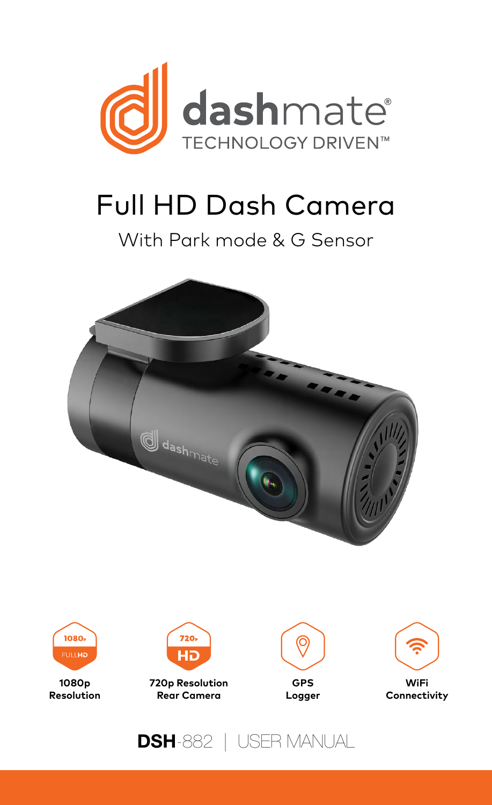

# Full HD Dash Camera

### With Park mode & G Sensor





**1080p Resolution**



**720p Resolution Rear Camera**





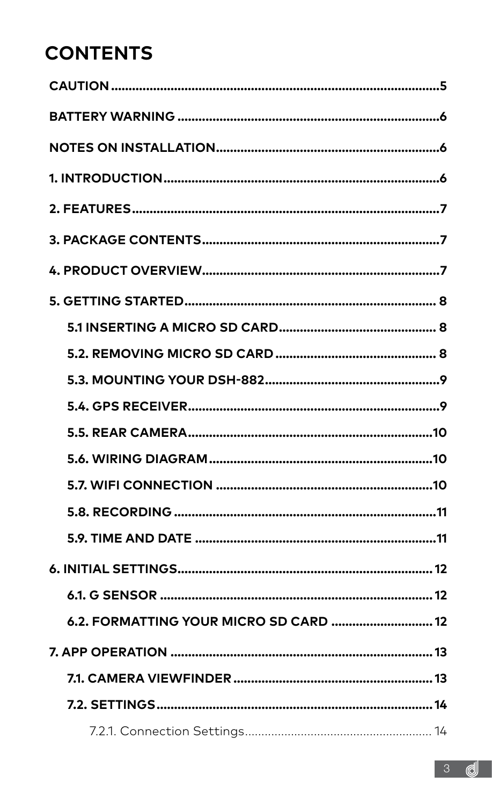### **CONTENTS**

| 6.2. FORMATTING YOUR MICRO SD CARD  12 |  |
|----------------------------------------|--|
|                                        |  |
|                                        |  |
|                                        |  |
|                                        |  |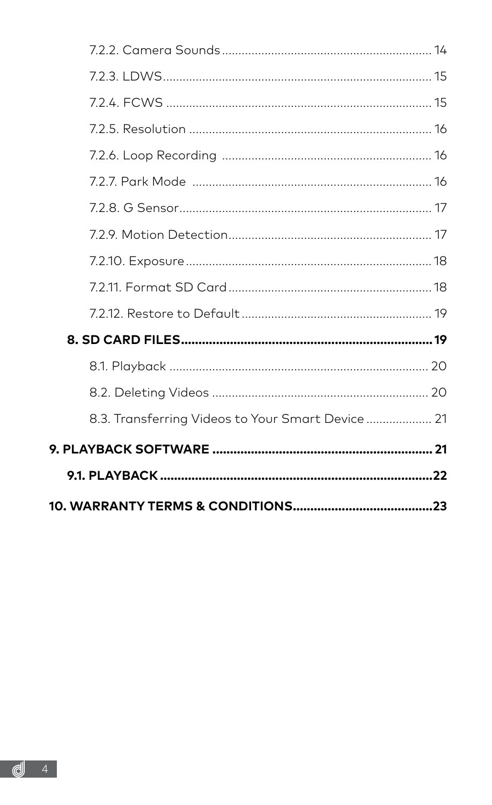| 8.3. Transferring Videos to Your Smart Device  21 |  |
|---------------------------------------------------|--|
|                                                   |  |
|                                                   |  |
|                                                   |  |

9.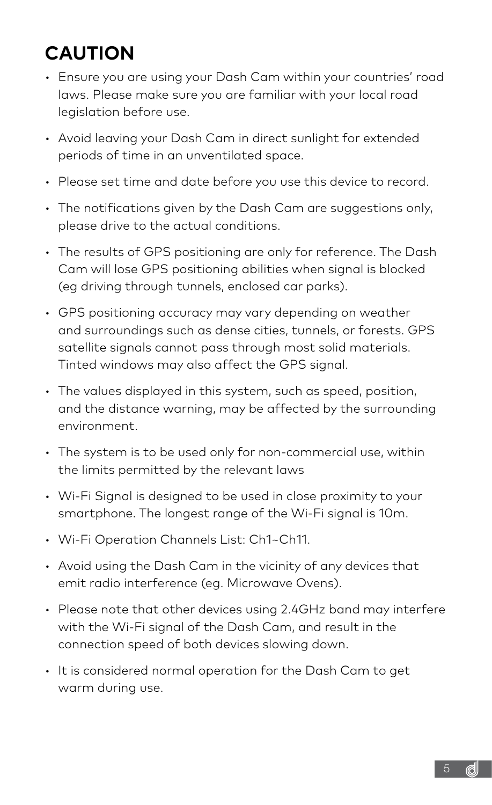# <span id="page-4-0"></span>**CAUTION**

- Ensure you are using your Dash Cam within your countries' road laws. Please make sure you are familiar with your local road legislation before use.
- Avoid leaving your Dash Cam in direct sunlight for extended periods of time in an unventilated space.
- Please set time and date before you use this device to record.
- The notifications given by the Dash Cam are suggestions only, please drive to the actual conditions.
- The results of GPS positioning are only for reference. The Dash Cam will lose GPS positioning abilities when signal is blocked (eg driving through tunnels, enclosed car parks).
- GPS positioning accuracy may vary depending on weather and surroundings such as dense cities, tunnels, or forests. GPS satellite signals cannot pass through most solid materials. Tinted windows may also affect the GPS signal.
- The values displayed in this system, such as speed, position, and the distance warning, may be affected by the surrounding environment.
- The system is to be used only for non-commercial use, within the limits permitted by the relevant laws
- Wi-Fi Signal is designed to be used in close proximity to your smartphone. The longest range of the Wi-Fi signal is 10m.
- Wi-Fi Operation Channels List: Ch1~Ch11.
- Avoid using the Dash Cam in the vicinity of any devices that emit radio interference (eg. Microwave Ovens).
- Please note that other devices using 2.4GHz band may interfere with the Wi-Fi signal of the Dash Cam, and result in the connection speed of both devices slowing down.
- It is considered normal operation for the Dash Cam to get warm during use.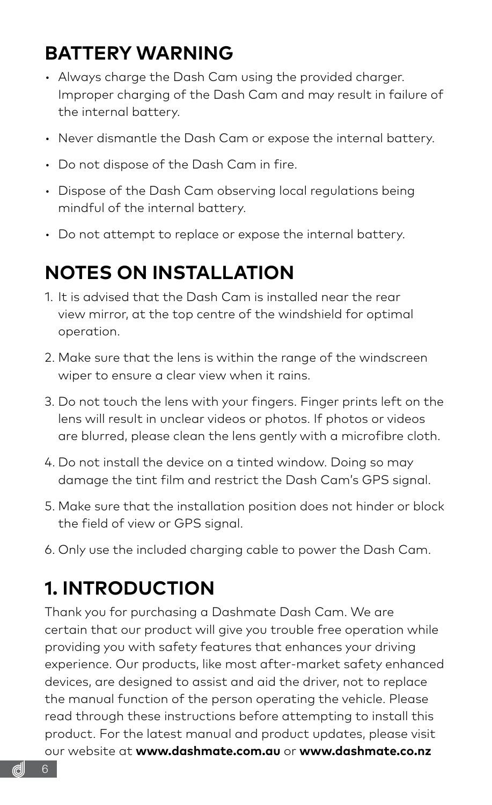### <span id="page-5-0"></span>**BATTERY WARNING**

- Always charge the Dash Cam using the provided charger. Improper charging of the Dash Cam and may result in failure of the internal battery.
- Never dismantle the Dash Cam or expose the internal battery.
- Do not dispose of the Dash Cam in fire.
- Dispose of the Dash Cam observing local regulations being mindful of the internal battery.
- Do not attempt to replace or expose the internal battery.

### **NOTES ON INSTALLATION**

- 1. It is advised that the Dash Cam is installed near the rear view mirror, at the top centre of the windshield for optimal operation.
- 2. Make sure that the lens is within the range of the windscreen wiper to ensure a clear view when it rains.
- 3. Do not touch the lens with your fingers. Finger prints left on the lens will result in unclear videos or photos. If photos or videos are blurred, please clean the lens gently with a microfibre cloth.
- 4. Do not install the device on a tinted window. Doing so may damage the tint film and restrict the Dash Cam's GPS signal.
- 5. Make sure that the installation position does not hinder or block the field of view or GPS signal.
- 6. Only use the included charging cable to power the Dash Cam.

### **1. INTRODUCTION**

Thank you for purchasing a Dashmate Dash Cam. We are certain that our product will give you trouble free operation while providing you with safety features that enhances your driving experience. Our products, like most after-market safety enhanced devices, are designed to assist and aid the driver, not to replace the manual function of the person operating the vehicle. Please read through these instructions before attempting to install this product. For the latest manual and product updates, please visit our website at **www.dashmate.com.au** or **www.dashmate.co.nz**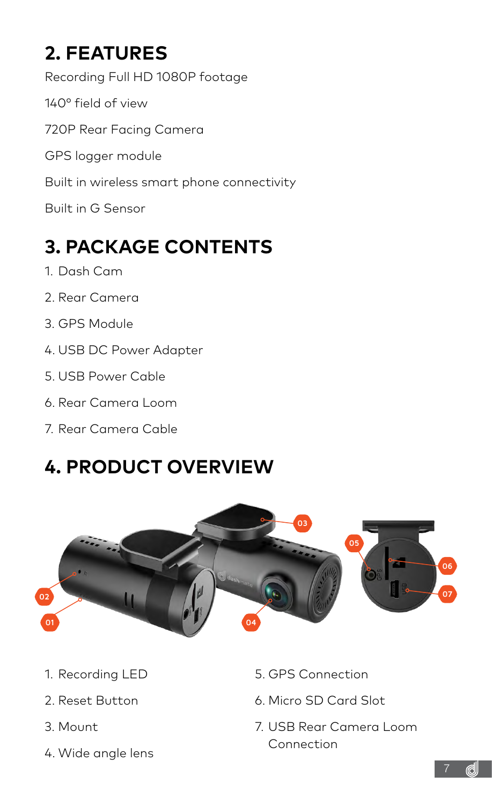# <span id="page-6-0"></span>**2. FEATURES**

Recording Full HD 1080P footage 140° field of view 720P Rear Facing Camera GPS logger module Built in wireless smart phone connectivity Built in G Sensor

# **3. PACKAGE CONTENTS**

- 1. Dash Cam
- 2. Rear Camera
- 3. GPS Module
- 4. USB DC Power Adapter
- 5. USB Power Cable
- 6. Rear Camera Loom
- 7. Rear Camera Cable

### **4. PRODUCT OVERVIEW**



- 1. Recording LED
- 2. Reset Button
- 3. Mount
- 4. Wide angle lens
- 5. GPS Connection
- 6. Micro SD Card Slot
- 7. USB Rear Camera Loom Connection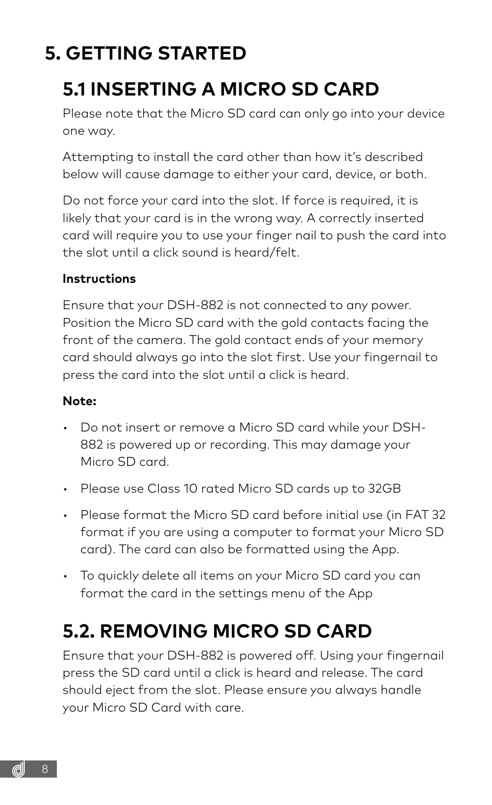# <span id="page-7-0"></span>**5. GETTING STARTED**

### **5.1 INSERTING A MICRO SD CARD**

Please note that the Micro SD card can only go into your device one way.

Attempting to install the card other than how it's described below will cause damage to either your card, device, or both.

Do not force your card into the slot. If force is required, it is likely that your card is in the wrong way. A correctly inserted card will require you to use your finger nail to push the card into the slot until a click sound is heard/felt.

#### **Instructions**

Ensure that your DSH-882 is not connected to any power. Position the Micro SD card with the gold contacts facing the front of the camera. The gold contact ends of your memory card should always go into the slot first. Use your fingernail to press the card into the slot until a click is heard.

#### **Note:**

- Do not insert or remove a Micro SD card while your DSH-882 is powered up or recording. This may damage your Micro SD card.
- Please use Class 10 rated Micro SD cards up to 32GB
- Please format the Micro SD card before initial use (in FAT 32 format if you are using a computer to format your Micro SD card). The card can also be formatted using the App.
- To quickly delete all items on your Micro SD card you can format the card in the settings menu of the App

### **5.2. REMOVING MICRO SD CARD**

Ensure that your DSH-882 is powered off. Using your fingernail press the SD card until a click is heard and release. The card should eject from the slot. Please ensure you always handle your Micro SD Card with care.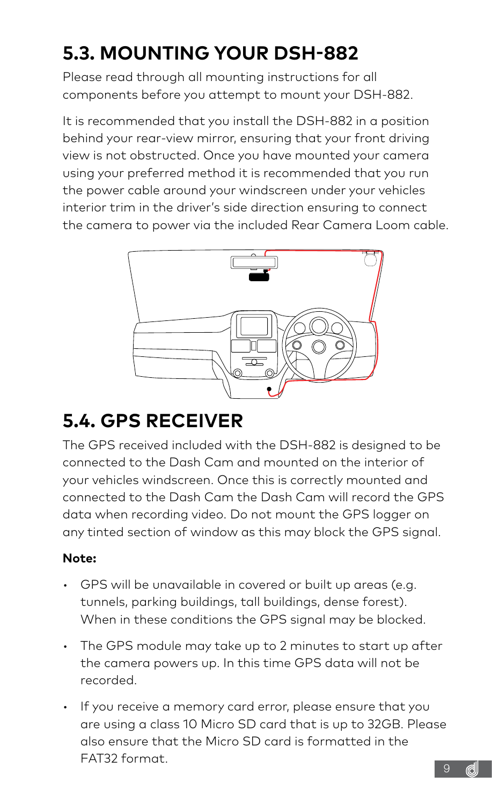# <span id="page-8-0"></span>**5.3. MOUNTING YOUR DSH-882**

Please read through all mounting instructions for all components before you attempt to mount your DSH-882.

It is recommended that you install the DSH-882 in a position behind your rear-view mirror, ensuring that your front driving view is not obstructed. Once you have mounted your camera using your preferred method it is recommended that you run the power cable around your windscreen under your vehicles interior trim in the driver's side direction ensuring to connect the camera to power via the included Rear Camera Loom cable.



### **5.4. GPS RECEIVER**

The GPS received included with the DSH-882 is designed to be connected to the Dash Cam and mounted on the interior of your vehicles windscreen. Once this is correctly mounted and connected to the Dash Cam the Dash Cam will record the GPS data when recording video. Do not mount the GPS logger on any tinted section of window as this may block the GPS signal.

#### **Note:**

- GPS will be unavailable in covered or built up areas (e.g. tunnels, parking buildings, tall buildings, dense forest). When in these conditions the GPS signal may be blocked.
- The GPS module may take up to 2 minutes to start up after the camera powers up. In this time GPS data will not be recorded.
- 9 • If you receive a memory card error, please ensure that you are using a class 10 Micro SD card that is up to 32GB. Please also ensure that the Micro SD card is formatted in the FAT32 format.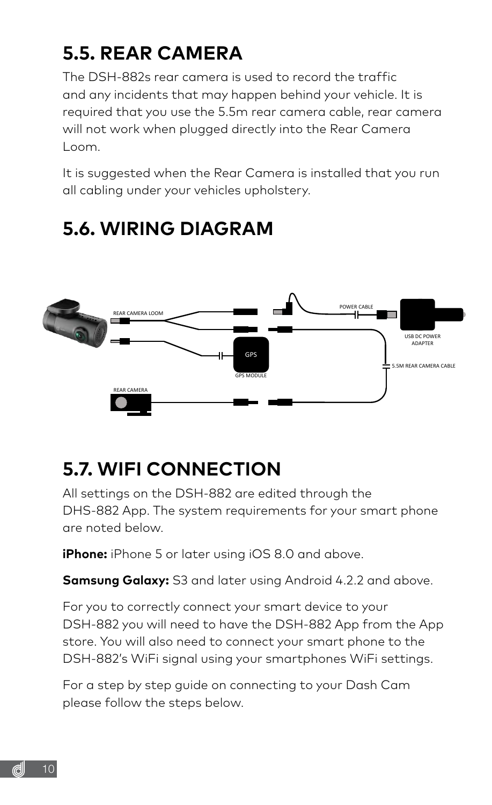# <span id="page-9-0"></span>**5.5. REAR CAMERA**

The DSH-882s rear camera is used to record the traffic and any incidents that may happen behind your vehicle. It is required that you use the 5.5m rear camera cable, rear camera will not work when plugged directly into the Rear Camera Loom.

It is suggested when the Rear Camera is installed that you run all cabling under your vehicles upholstery.

#### GPS REAR CAMERA REAR CAMERA LOOM 5.5M REAR CAMERA CABLE GPS MODULE POWER CABLE USB DC POWER ADAPTER

### **5.6. WIRING DIAGRAM**

### **5.7. WIFI CONNECTION**

All settings on the DSH-882 are edited through the DHS-882 App. The system requirements for your smart phone are noted below.

**iPhone:** iPhone 5 or later using iOS 8.0 and above.

**Samsung Galaxy:** S3 and later using Android 4.2.2 and above.

For you to correctly connect your smart device to your DSH-882 you will need to have the DSH-882 App from the App store. You will also need to connect your smart phone to the DSH-882's WiFi signal using your smartphones WiFi settings.

For a step by step guide on connecting to your Dash Cam please follow the steps below.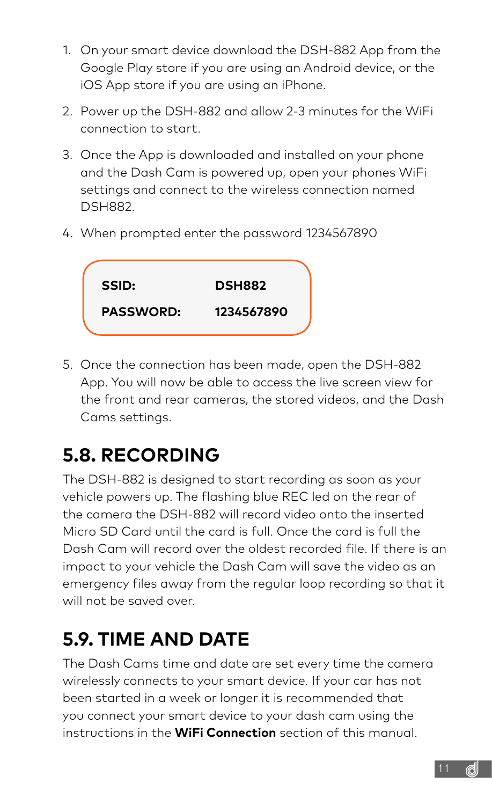- <span id="page-10-0"></span>1. On your smart device download the DSH-882 App from the Google Play store if you are using an Android device, or the iOS App store if you are using an iPhone.
- 2. Power up the DSH-882 and allow 2-3 minutes for the WiFi connection to start.
- 3. Once the App is downloaded and installed on your phone and the Dash Cam is powered up, open your phones WiFi settings and connect to the wireless connection named DSH882.
- 4. When prompted enter the password 1234567890



5. Once the connection has been made, open the DSH-882 App. You will now be able to access the live screen view for the front and rear cameras, the stored videos, and the Dash Cams settings.

# **5.8. RECORDING**

The DSH-882 is designed to start recording as soon as your vehicle powers up. The flashing blue REC led on the rear of the camera the DSH-882 will record video onto the inserted Micro SD Card until the card is full. Once the card is full the Dash Cam will record over the oldest recorded file. If there is an impact to your vehicle the Dash Cam will save the video as an emergency files away from the regular loop recording so that it will not be saved over.

# **5.9. TIME AND DATE**

The Dash Cams time and date are set every time the camera wirelessly connects to your smart device. If your car has not been started in a week or longer it is recommended that you connect your smart device to your dash cam using the instructions in the **WiFi Connection** section of this manual.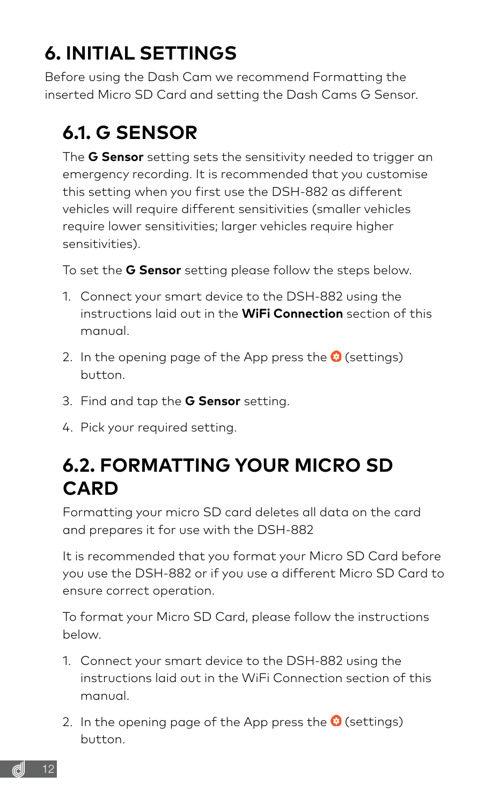# <span id="page-11-0"></span>**6. INITIAL SETTINGS**

Before using the Dash Cam we recommend Formatting the inserted Micro SD Card and setting the Dash Cams G Sensor.

# **6.1. G SENSOR**

The **G Sensor** setting sets the sensitivity needed to trigger an emergency recording. It is recommended that you customise this setting when you first use the DSH-882 as different vehicles will require different sensitivities (smaller vehicles require lower sensitivities; larger vehicles require higher sensitivities).

To set the **G Sensor** setting please follow the steps below.

- 1. Connect your smart device to the DSH-882 using the instructions laid out in the **WiFi Connection** section of this manual.
- 2. In the opening page of the App press the  $\odot$  (settings) button.
- 3. Find and tap the **G Sensor** setting.
- 4. Pick your required setting.

### **6.2. FORMATTING YOUR MICRO SD CARD**

Formatting your micro SD card deletes all data on the card and prepares it for use with the DSH-882

It is recommended that you format your Micro SD Card before you use the DSH-882 or if you use a different Micro SD Card to ensure correct operation.

To format your Micro SD Card, please follow the instructions below.

- 1. Connect your smart device to the DSH-882 using the instructions laid out in the WiFi Connection section of this manual.
- 2. In the opening page of the App press the  $\bullet$  (settings) button.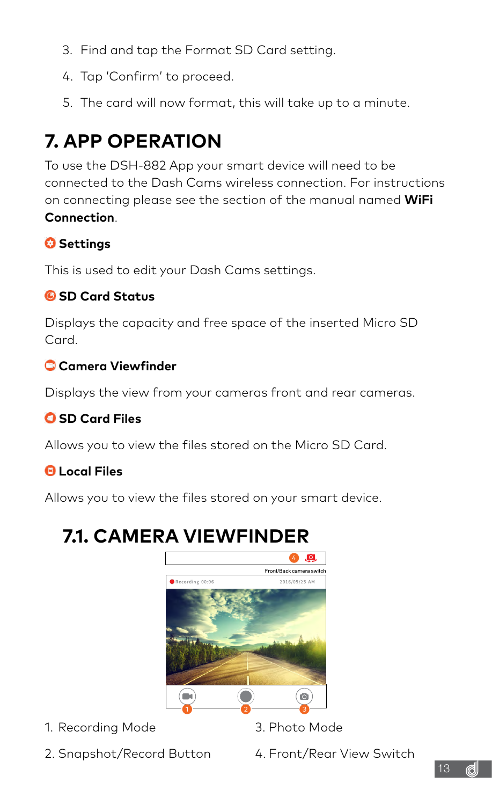- <span id="page-12-0"></span>3. Find and tap the Format SD Card setting.
- 4. Tap 'Confirm' to proceed.
- 5. The card will now format, this will take up to a minute.

### **7. APP OPERATION**

To use the DSH-882 App your smart device will need to be connected to the Dash Cams wireless connection. For instructions on connecting please see the section of the manual named **WiFi Connection**.

#### **Settings**

This is used to edit your Dash Cams settings.

#### **SD Card Status**

Displays the capacity and free space of the inserted Micro SD Card.

#### **Camera Viewfinder**

Displays the view from your cameras front and rear cameras.

#### **SD Card Files**

Allows you to view the files stored on the Micro SD Card.

#### **Local Files**

Allows you to view the files stored on your smart device.

### **7.1. CAMERA VIEWFINDER**



1. Recording Mode

- 3. Photo Mode
- 2. Snapshot/Record Button
- 4. Front/Rear View Switch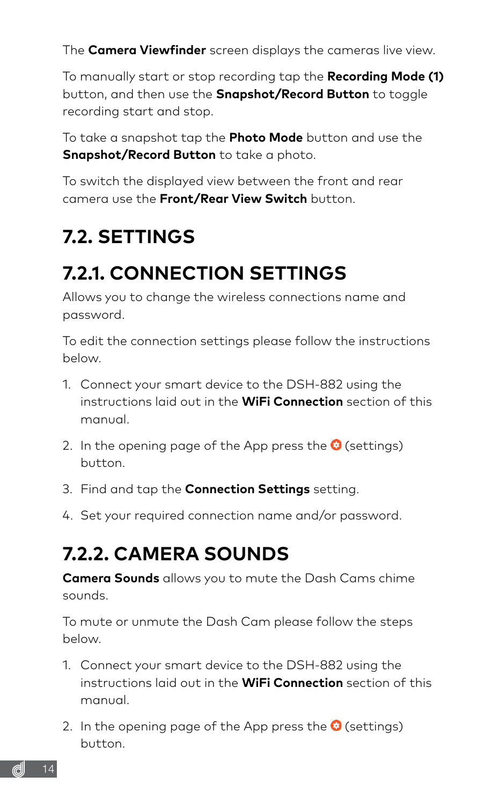<span id="page-13-0"></span>The **Camera Viewfinder** screen displays the cameras live view.

To manually start or stop recording tap the **Recording Mode (1)** button, and then use the **Snapshot/Record Button** to toggle recording start and stop.

To take a snapshot tap the **Photo Mode** button and use the **Snapshot/Record Button** to take a photo.

To switch the displayed view between the front and rear camera use the **Front/Rear View Switch** button.

# **7.2. SETTINGS**

### **7.2.1. CONNECTION SETTINGS**

Allows you to change the wireless connections name and password.

To edit the connection settings please follow the instructions below.

- 1. Connect your smart device to the DSH-882 using the instructions laid out in the **WiFi Connection** section of this manual.
- 2. In the opening page of the App press the  $\bullet$  (settings) button.
- 3. Find and tap the **Connection Settings** setting.
- 4. Set your required connection name and/or password.

### **7.2.2. CAMERA SOUNDS**

**Camera Sounds** allows you to mute the Dash Cams chime sounds.

To mute or unmute the Dash Cam please follow the steps below.

- 1. Connect your smart device to the DSH-882 using the instructions laid out in the **WiFi Connection** section of this manual.
- 2. In the opening page of the App press the  $\bullet$  (settings) button.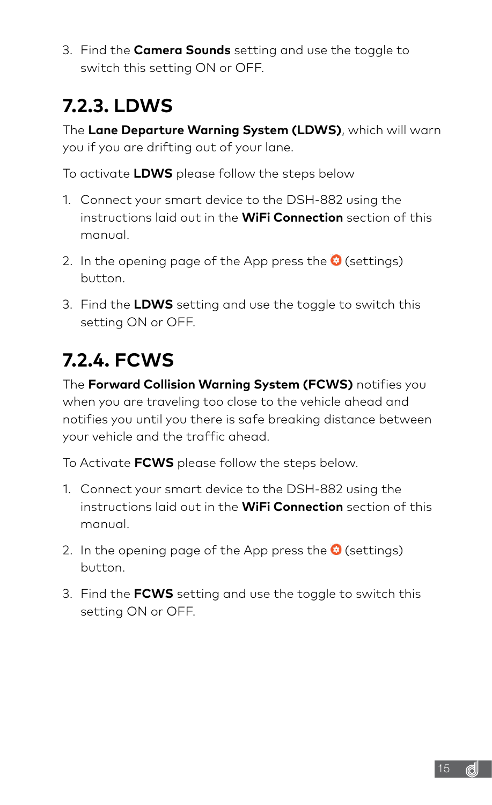<span id="page-14-0"></span>3. Find the **Camera Sounds** setting and use the toggle to switch this setting ON or OFF.

# **7.2.3. LDWS**

The **Lane Departure Warning System (LDWS)**, which will warn you if you are drifting out of your lane.

To activate **LDWS** please follow the steps below

- 1. Connect your smart device to the DSH-882 using the instructions laid out in the **WiFi Connection** section of this manual.
- 2. In the opening page of the App press the  $\odot$  (settings) button.
- 3. Find the **LDWS** setting and use the toggle to switch this setting ON or OFF.

### **7.2.4. FCWS**

The **Forward Collision Warning System (FCWS)** notifies you when you are traveling too close to the vehicle ahead and notifies you until you there is safe breaking distance between your vehicle and the traffic ahead.

To Activate **FCWS** please follow the steps below.

- 1. Connect your smart device to the DSH-882 using the instructions laid out in the **WiFi Connection** section of this manual.
- 2. In the opening page of the App press the  $\odot$  (settings) button.
- 3. Find the **FCWS** setting and use the toggle to switch this setting ON or OFF.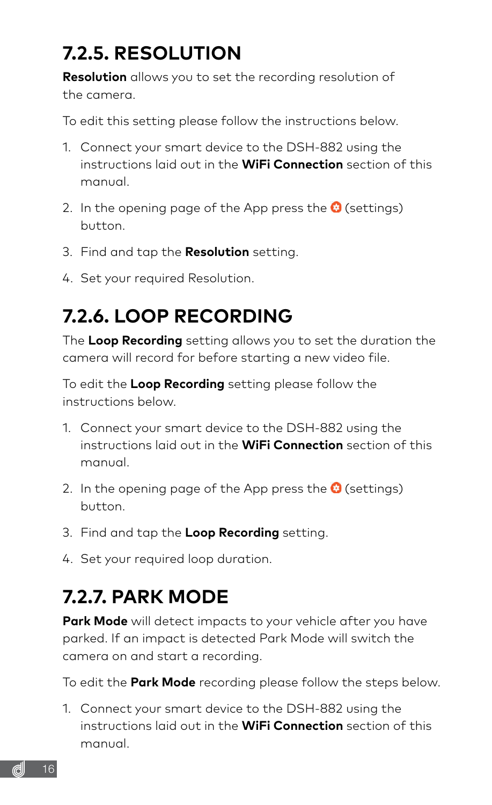# <span id="page-15-0"></span>**7.2.5. RESOLUTION**

**Resolution** allows you to set the recording resolution of the camera.

To edit this setting please follow the instructions below.

- 1. Connect your smart device to the DSH-882 using the instructions laid out in the **WiFi Connection** section of this manual.
- 2. In the opening page of the App press the  $\odot$  (settings) button.
- 3. Find and tap the **Resolution** setting.
- 4. Set your required Resolution.

# **7.2.6. LOOP RECORDING**

The **Loop Recording** setting allows you to set the duration the camera will record for before starting a new video file.

To edit the **Loop Recording** setting please follow the instructions below.

- 1. Connect your smart device to the DSH-882 using the instructions laid out in the **WiFi Connection** section of this manual.
- 2. In the opening page of the App press the  $\bullet$  (settings) button.
- 3. Find and tap the **Loop Recording** setting.
- 4. Set your required loop duration.

### **7.2.7. PARK MODE**

**Park Mode** will detect impacts to your vehicle after you have parked. If an impact is detected Park Mode will switch the camera on and start a recording.

To edit the **Park Mode** recording please follow the steps below.

1. Connect your smart device to the DSH-882 using the instructions laid out in the **WiFi Connection** section of this manual.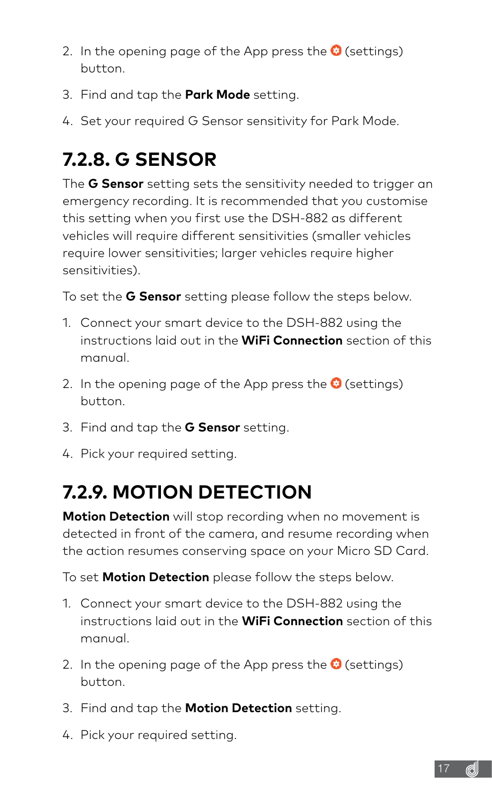- <span id="page-16-0"></span>2. In the opening page of the App press the  $\bullet$  (settings) button.
- 3. Find and tap the **Park Mode** setting.
- 4. Set your required G Sensor sensitivity for Park Mode.

### **7.2.8. G SENSOR**

The **G Sensor** setting sets the sensitivity needed to trigger an emergency recording. It is recommended that you customise this setting when you first use the DSH-882 as different vehicles will require different sensitivities (smaller vehicles require lower sensitivities; larger vehicles require higher sensitivities).

To set the **G Sensor** setting please follow the steps below.

- 1. Connect your smart device to the DSH-882 using the instructions laid out in the **WiFi Connection** section of this manual.
- 2. In the opening page of the App press the  $\bullet$  (settings) button.
- 3. Find and tap the **G Sensor** setting.
- 4. Pick your required setting.

# **7.2.9. MOTION DETECTION**

**Motion Detection** will stop recording when no movement is detected in front of the camera, and resume recording when the action resumes conserving space on your Micro SD Card.

To set **Motion Detection** please follow the steps below.

- 1. Connect your smart device to the DSH-882 using the instructions laid out in the **WiFi Connection** section of this manual.
- 2. In the opening page of the App press the  $\odot$  (settings) button.
- 3. Find and tap the **Motion Detection** setting.
- 4. Pick your required setting.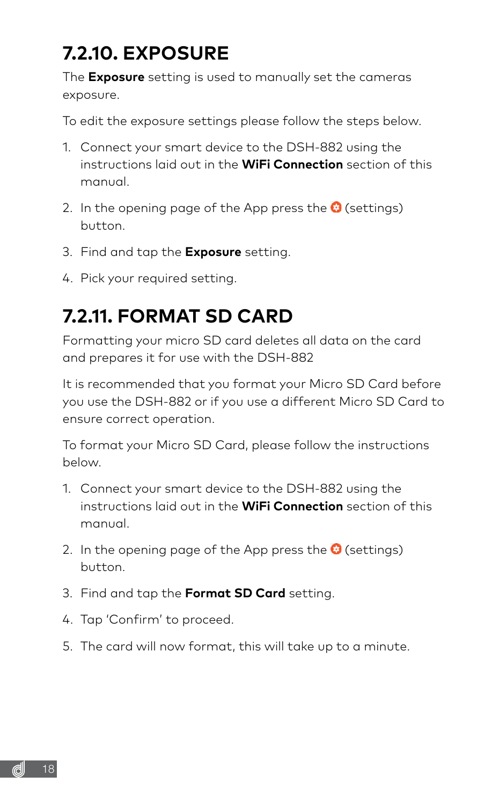# <span id="page-17-0"></span>**7.2.10. EXPOSURE**

The **Exposure** setting is used to manually set the cameras exposure.

To edit the exposure settings please follow the steps below.

- 1. Connect your smart device to the DSH-882 using the instructions laid out in the **WiFi Connection** section of this manual.
- 2. In the opening page of the App press the  $\odot$  (settings) button.
- 3. Find and tap the **Exposure** setting.
- 4. Pick your required setting.

### **7.2.11. FORMAT SD CARD**

Formatting your micro SD card deletes all data on the card and prepares it for use with the DSH-882

It is recommended that you format your Micro SD Card before you use the DSH-882 or if you use a different Micro SD Card to ensure correct operation.

To format your Micro SD Card, please follow the instructions below.

- 1. Connect your smart device to the DSH-882 using the instructions laid out in the **WiFi Connection** section of this manual.
- 2. In the opening page of the App press the  $\odot$  (settings) button.
- 3. Find and tap the **Format SD Card** setting.
- 4. Tap 'Confirm' to proceed.
- 5. The card will now format, this will take up to a minute.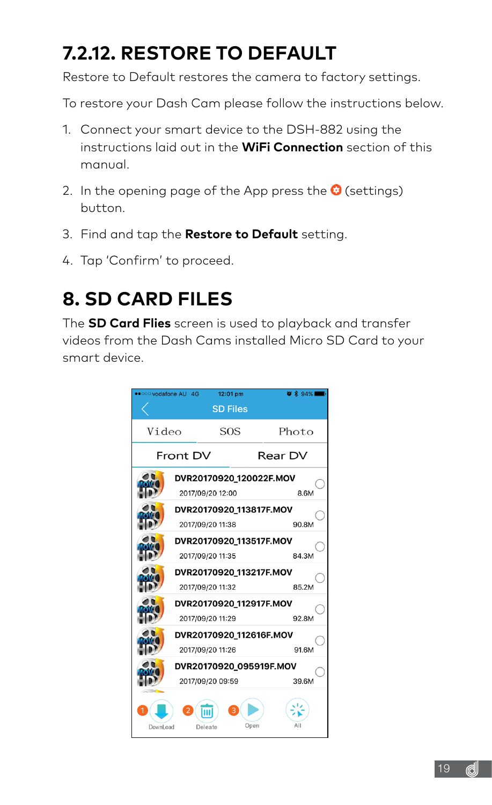# <span id="page-18-0"></span>**7.2.12. RESTORE TO DEFAULT**

Restore to Default restores the camera to factory settings.

To restore your Dash Cam please follow the instructions below.

- 1. Connect your smart device to the DSH-882 using the instructions laid out in the **WiFi Connection** section of this manual.
- 2. In the opening page of the App press the  $\bullet$  (settings) button.
- 3. Find and tap the **Restore to Default** setting.
- 4. Tap 'Confirm' to proceed.

### **8. SD CARD FILES**

The **SD Card Flies** screen is used to playback and transfer videos from the Dash Cams installed Micro SD Card to your smart device.

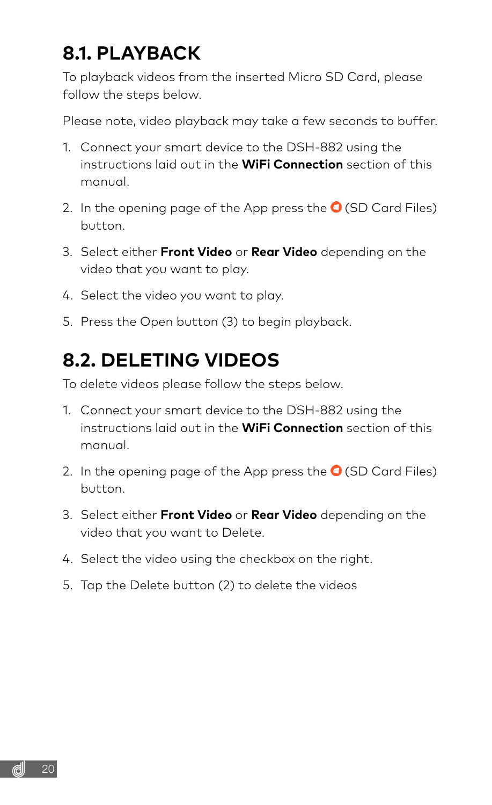### <span id="page-19-0"></span>**8.1. PLAYBACK**

To playback videos from the inserted Micro SD Card, please follow the steps below.

Please note, video playback may take a few seconds to buffer.

- 1. Connect your smart device to the DSH-882 using the instructions laid out in the **WiFi Connection** section of this manual.
- 2. In the opening page of the App press the  $\bigcirc$  (SD Card Files) button.
- 3. Select either **Front Video** or **Rear Video** depending on the video that you want to play.
- 4. Select the video you want to play.
- 5. Press the Open button (3) to begin playback.

### **8.2. DELETING VIDEOS**

To delete videos please follow the steps below.

- 1. Connect your smart device to the DSH-882 using the instructions laid out in the **WiFi Connection** section of this manual.
- 2. In the opening page of the App press the  $\bigcirc$  (SD Card Files) button.
- 3. Select either **Front Video** or **Rear Video** depending on the video that you want to Delete.
- 4. Select the video using the checkbox on the right.
- 5. Tap the Delete button (2) to delete the videos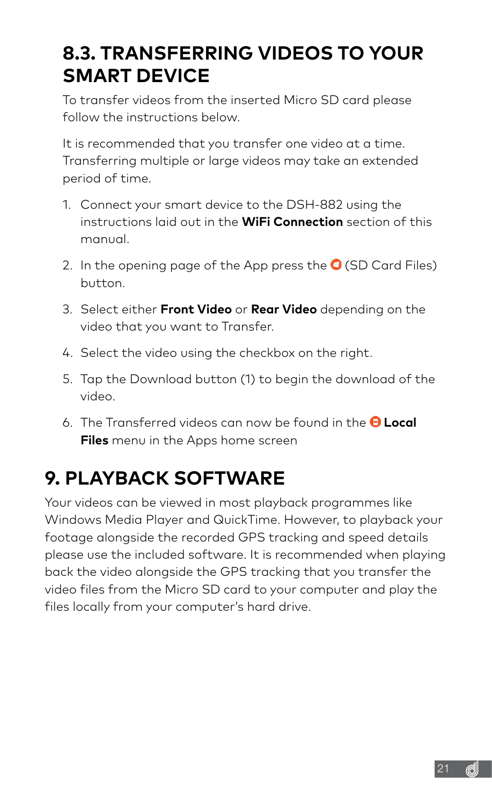### <span id="page-20-0"></span>**8.3. TRANSFERRING VIDEOS TO YOUR SMART DEVICE**

To transfer videos from the inserted Micro SD card please follow the instructions below.

It is recommended that you transfer one video at a time. Transferring multiple or large videos may take an extended period of time.

- 1. Connect your smart device to the DSH-882 using the instructions laid out in the **WiFi Connection** section of this manual.
- 2. In the opening page of the App press the  $\bigcirc$  (SD Card Files) button.
- 3. Select either **Front Video** or **Rear Video** depending on the video that you want to Transfer.
- 4. Select the video using the checkbox on the right.
- 5. Tap the Download button (1) to begin the download of the video.
- 6. The Transferred videos can now be found in the **Local Files** menu in the Apps home screen

### **9. PLAYBACK SOFTWARE**

Your videos can be viewed in most playback programmes like Windows Media Player and QuickTime. However, to playback your footage alongside the recorded GPS tracking and speed details please use the included software. It is recommended when playing back the video alongside the GPS tracking that you transfer the video files from the Micro SD card to your computer and play the files locally from your computer's hard drive.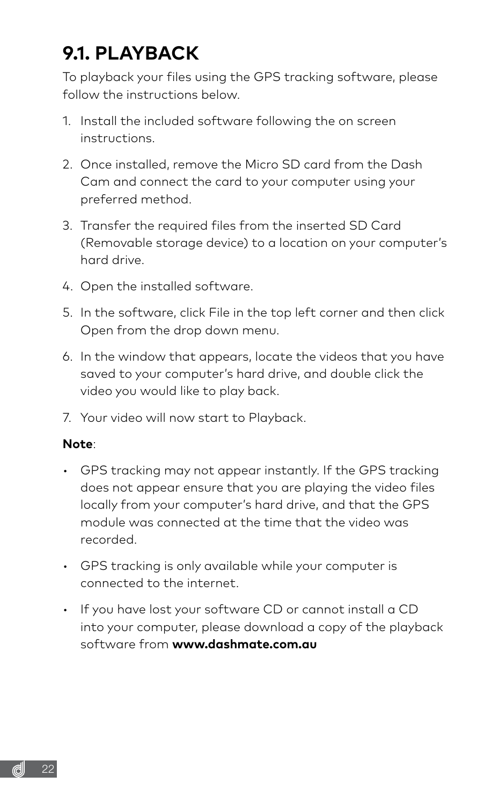# <span id="page-21-0"></span>**9.1. PLAYBACK**

To playback your files using the GPS tracking software, please follow the instructions below.

- 1. Install the included software following the on screen instructions.
- 2. Once installed, remove the Micro SD card from the Dash Cam and connect the card to your computer using your preferred method.
- 3. Transfer the required files from the inserted SD Card (Removable storage device) to a location on your computer's hard drive.
- 4. Open the installed software.
- 5. In the software, click File in the top left corner and then click Open from the drop down menu.
- 6. In the window that appears, locate the videos that you have saved to your computer's hard drive, and double click the video you would like to play back.
- 7. Your video will now start to Playback.

#### **Note**:

- GPS tracking may not appear instantly. If the GPS tracking does not appear ensure that you are playing the video files locally from your computer's hard drive, and that the GPS module was connected at the time that the video was recorded.
- GPS tracking is only available while your computer is connected to the internet.
- If you have lost your software CD or cannot install a CD into your computer, please download a copy of the playback software from **www.dashmate.com.au**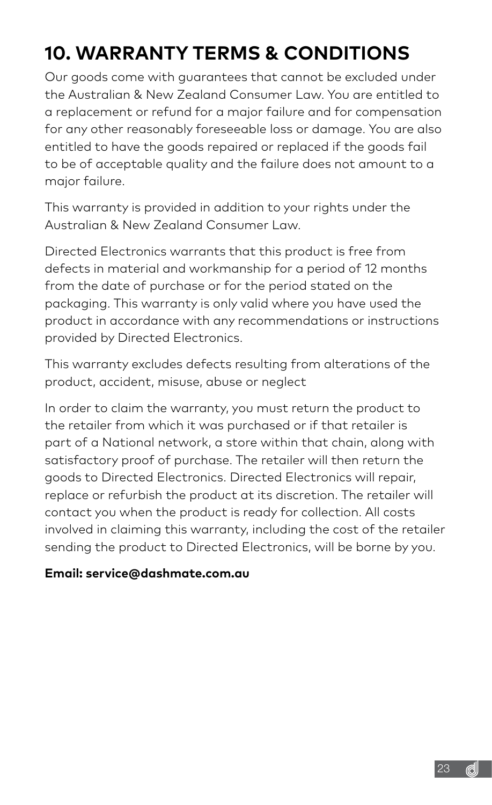# <span id="page-22-0"></span>**10. WARRANTY TERMS & CONDITIONS**

Our goods come with guarantees that cannot be excluded under the Australian & New Zealand Consumer Law. You are entitled to a replacement or refund for a major failure and for compensation for any other reasonably foreseeable loss or damage. You are also entitled to have the goods repaired or replaced if the goods fail to be of acceptable quality and the failure does not amount to a major failure.

This warranty is provided in addition to your rights under the Australian & New Zealand Consumer Law.

Directed Electronics warrants that this product is free from defects in material and workmanship for a period of 12 months from the date of purchase or for the period stated on the packaging. This warranty is only valid where you have used the product in accordance with any recommendations or instructions provided by Directed Electronics.

This warranty excludes defects resulting from alterations of the product, accident, misuse, abuse or neglect

In order to claim the warranty, you must return the product to the retailer from which it was purchased or if that retailer is part of a National network, a store within that chain, along with satisfactory proof of purchase. The retailer will then return the goods to Directed Electronics. Directed Electronics will repair, replace or refurbish the product at its discretion. The retailer will contact you when the product is ready for collection. All costs involved in claiming this warranty, including the cost of the retailer sending the product to Directed Electronics, will be borne by you.

#### **Email: service@dashmate.com.au**